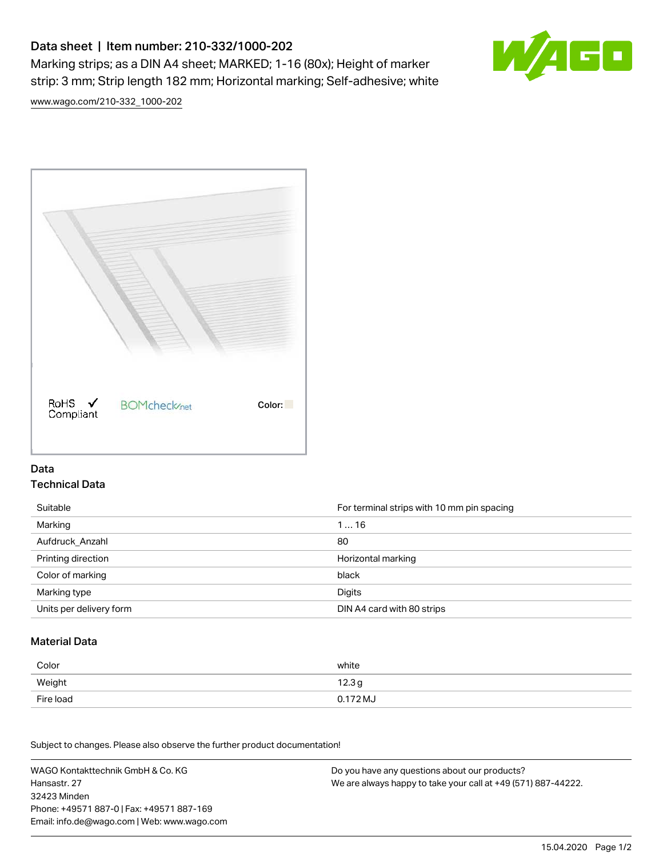# Data sheet | Item number: 210-332/1000-202

Marking strips; as a DIN A4 sheet; MARKED; 1-16 (80x); Height of marker strip: 3 mm; Strip length 182 mm; Horizontal marking; Self-adhesive; white



[www.wago.com/210-332\\_1000-202](http://www.wago.com/210-332_1000-202)



### Data Technical Data

| Suitable                | For terminal strips with 10 mm pin spacing |
|-------------------------|--------------------------------------------|
| Marking                 | 116                                        |
| Aufdruck Anzahl         | 80                                         |
| Printing direction      | Horizontal marking                         |
| Color of marking        | black                                      |
| Marking type            | Digits                                     |
| Units per delivery form | DIN A4 card with 80 strips                 |

#### Material Data

| Color     | white                       |
|-----------|-----------------------------|
| Weight    | 12.3 <sub>g</sub>           |
| Fire load | $0.172\,\mathrm{M}_{\odot}$ |

Subject to changes. Please also observe the further product documentation!

WAGO Kontakttechnik GmbH & Co. KG Hansastr. 27 32423 Minden Phone: +49571 887-0 | Fax: +49571 887-169 Email: info.de@wago.com | Web: www.wago.com Do you have any questions about our products? We are always happy to take your call at +49 (571) 887-44222.